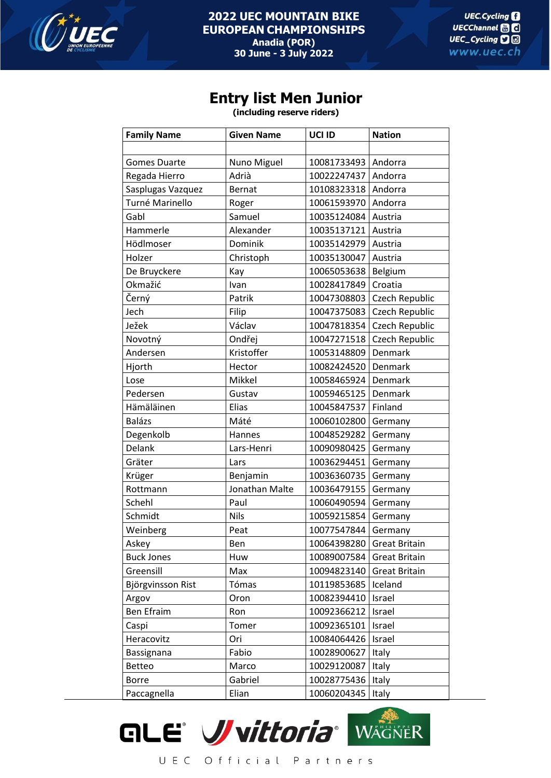

## **2022 UEC MOUNTAIN BIKE EUROPEAN CHAMPIONSHIPS Anadia (POR) 30 June - 3 July 2022**

## **Entry list Men Junior**

**(including reserve riders)**

| <b>Family Name</b>  | <b>Given Name</b> | UCI ID      | <b>Nation</b>        |
|---------------------|-------------------|-------------|----------------------|
|                     |                   |             |                      |
| <b>Gomes Duarte</b> | Nuno Miguel       | 10081733493 | Andorra              |
| Regada Hierro       | Adrià             | 10022247437 | Andorra              |
| Sasplugas Vazquez   | <b>Bernat</b>     | 10108323318 | Andorra              |
| Turné Marinello     | Roger             | 10061593970 | Andorra              |
| Gabl                | Samuel            | 10035124084 | Austria              |
| Hammerle            | Alexander         | 10035137121 | Austria              |
| Hödlmoser           | Dominik           | 10035142979 | Austria              |
| Holzer              | Christoph         | 10035130047 | Austria              |
| De Bruyckere        | Kay               | 10065053638 | Belgium              |
| Okmažić             | Ivan              | 10028417849 | Croatia              |
| Černý               | Patrik            | 10047308803 | Czech Republic       |
| Jech                | Filip             | 10047375083 | Czech Republic       |
| Ježek               | Václav            | 10047818354 | Czech Republic       |
| Novotný             | Ondřej            | 10047271518 | Czech Republic       |
| Andersen            | Kristoffer        | 10053148809 | Denmark              |
| Hjorth              | Hector            | 10082424520 | Denmark              |
| Lose                | Mikkel            | 10058465924 | Denmark              |
| Pedersen            | Gustav            | 10059465125 | Denmark              |
| Hämäläinen          | Elias             | 10045847537 | Finland              |
| <b>Balázs</b>       | Máté              | 10060102800 | Germany              |
| Degenkolb           | Hannes            | 10048529282 | Germany              |
| Delank              | Lars-Henri        | 10090980425 | Germany              |
| Gräter              | Lars              | 10036294451 | Germany              |
| Krüger              | Benjamin          | 10036360735 | Germany              |
| Rottmann            | Jonathan Malte    | 10036479155 | Germany              |
| Schehl              | Paul              | 10060490594 | Germany              |
| Schmidt             | <b>Nils</b>       | 10059215854 | Germany              |
| Weinberg            | Peat              | 10077547844 | Germany              |
| Askey               | Ben               | 10064398280 | <b>Great Britain</b> |
| <b>Buck Jones</b>   | Huw               | 10089007584 | <b>Great Britain</b> |
| Greensill           | Max               | 10094823140 | <b>Great Britain</b> |
| Björgvinsson Rist   | Tómas             | 10119853685 | Iceland              |
| Argov               | Oron              | 10082394410 | Israel               |
| Ben Efraim          | Ron               | 10092366212 | Israel               |
| Caspi               | Tomer             | 10092365101 | Israel               |
| Heracovitz          | Ori               | 10084064426 | Israel               |
| Bassignana          | Fabio             | 10028900627 | Italy                |
| <b>Betteo</b>       | Marco             | 10029120087 | Italy                |
| <b>Borre</b>        | Gabriel           | 10028775436 | Italy                |
| Paccagnella         | Elian             | 10060204345 | Italy                |